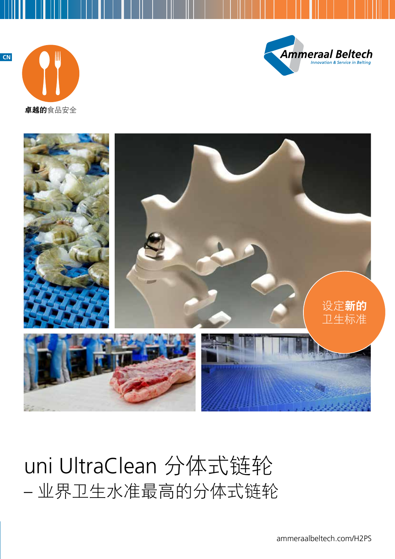**CN**





**卓越的**食品安全



# uni UltraClean 分体式链轮 – 业界卫生水准最高的分体式链轮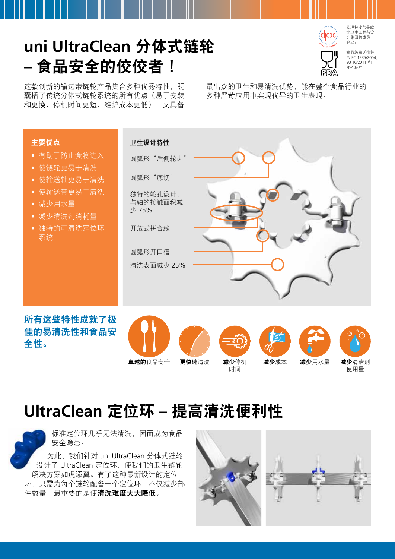## **uni UltraClean** 分体式链轮 **–** 食品安全的佼佼者!

rsinyy

**EHEDG** 

食品级输送带符 合 EC 1935/2004, EU 10/2011 和 FDA 标准。

艾玛拉皮带是欧 洲卫生工程与设 计集团的成员 企业。

这款创新的输送带链轮产品集合多种优秀特性,既 囊括了传统分体式链轮系统的所有优点(易于安装 和更换、停机时间更短、维护成本更低),又具备

最出众的卫生和易清洗优势,能在整个食品行业的 多种严苛应用中实现优异的卫生表现。



所有这些特性成就了极 佳的易清洗性和食品安 全性。



时间







减少成本 减少用水量 减少清洁剂 **Less** 使用量 减少清洁剂

#### **UltraClean** 定位环 **–** 提高清洗便利性



标准定位环几乎无法清洗,因而成为食品 安全隐患。

为此,我们针对 uni UltraClean 分体式链轮 设计了 UltraClean 定位环, 使我们的卫生链轮 解决方案如虎添翼。有了这种最新设计的定位 环,只需为每个链轮配备一个定位环,不仅减少部 件数量,最重要的是使清洗难度大大降低。

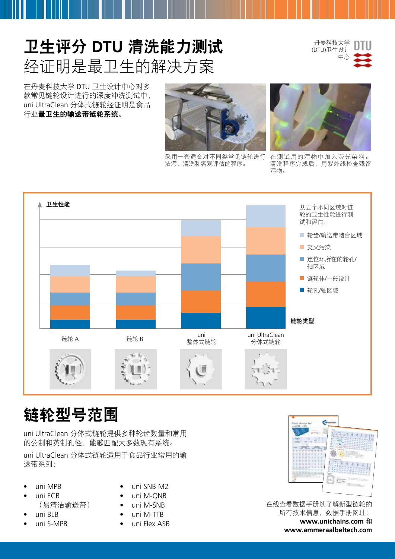## 卫生评分 **DTU** 清洗能力测试 经证明是最卫生的解决方案

丹麦科技大学 (DTU)卫生设计 中心



在丹麦科技大学 DTU 卫生设计中心对多 款常见链轮设计进行的深度冲洗测试中, uni UltraClean 分体式链轮经证明是食品 行业最卫生的输送带链轮系统。



采用一套适合对不同类常见链轮进行 洁污、清洗和客观评估的程序。



在测试用的污物中加入荧光染料。 清洗程序完成后,用紫外线检查残留 污物。



#### 链轮型号范围

uni UltraClean 分体式链轮提供多种轮齿数量和常用 的公制和英制孔径,能够匹配大多数现有系统。 uni UltraClean 分体式链轮适用于食品行业常用的输 送带系列:

- uni MPB
- uni ECB (易清洁输送带)
- uni BLB
- uni S-MPB
- uni SNB M2
- uni M-QNB
- uni M-SNB
- uni M-TTB
- uni Flex ASB



在线查看数据手册以了解新型链轮的 所有技术信息,数据手册网址: **www.unichains.com** 和 **www.ammeraalbeltech.com**